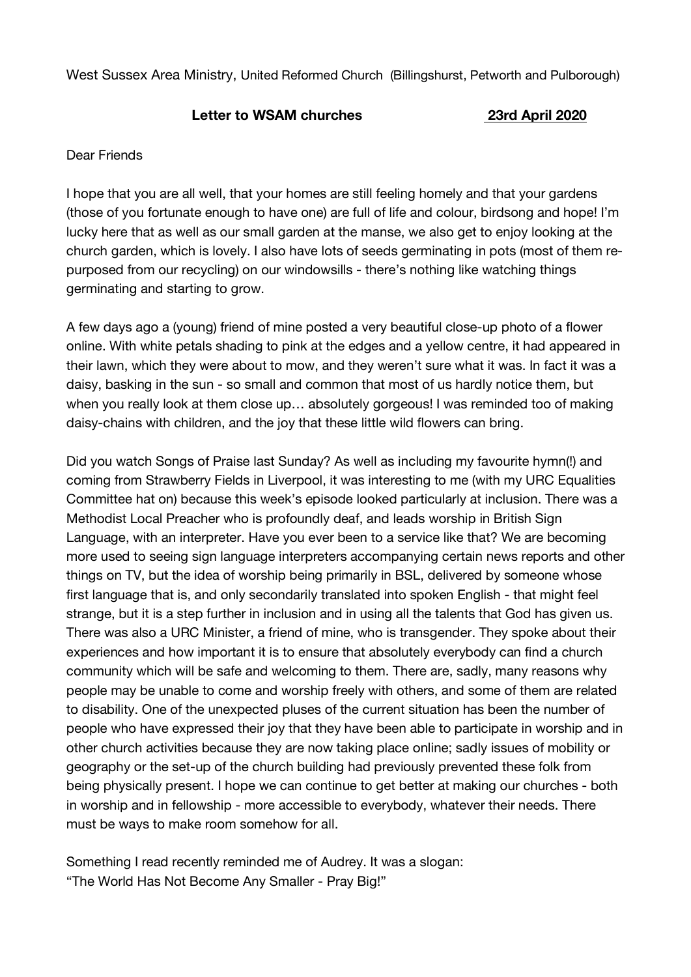West Sussex Area Ministry, United Reformed Church (Billingshurst, Petworth and Pulborough)

## **Letter to WSAM churches 23rd April 2020**

## Dear Friends

I hope that you are all well, that your homes are still feeling homely and that your gardens (those of you fortunate enough to have one) are full of life and colour, birdsong and hope! I'm lucky here that as well as our small garden at the manse, we also get to enjoy looking at the church garden, which is lovely. I also have lots of seeds germinating in pots (most of them repurposed from our recycling) on our windowsills - there's nothing like watching things germinating and starting to grow.

A few days ago a (young) friend of mine posted a very beautiful close-up photo of a flower online. With white petals shading to pink at the edges and a yellow centre, it had appeared in their lawn, which they were about to mow, and they weren't sure what it was. In fact it was a daisy, basking in the sun - so small and common that most of us hardly notice them, but when you really look at them close up… absolutely gorgeous! I was reminded too of making daisy-chains with children, and the joy that these little wild flowers can bring.

Did you watch Songs of Praise last Sunday? As well as including my favourite hymn(!) and coming from Strawberry Fields in Liverpool, it was interesting to me (with my URC Equalities Committee hat on) because this week's episode looked particularly at inclusion. There was a Methodist Local Preacher who is profoundly deaf, and leads worship in British Sign Language, with an interpreter. Have you ever been to a service like that? We are becoming more used to seeing sign language interpreters accompanying certain news reports and other things on TV, but the idea of worship being primarily in BSL, delivered by someone whose first language that is, and only secondarily translated into spoken English - that might feel strange, but it is a step further in inclusion and in using all the talents that God has given us. There was also a URC Minister, a friend of mine, who is transgender. They spoke about their experiences and how important it is to ensure that absolutely everybody can find a church community which will be safe and welcoming to them. There are, sadly, many reasons why people may be unable to come and worship freely with others, and some of them are related to disability. One of the unexpected pluses of the current situation has been the number of people who have expressed their joy that they have been able to participate in worship and in other church activities because they are now taking place online; sadly issues of mobility or geography or the set-up of the church building had previously prevented these folk from being physically present. I hope we can continue to get better at making our churches - both in worship and in fellowship - more accessible to everybody, whatever their needs. There must be ways to make room somehow for all.

Something I read recently reminded me of Audrey. It was a slogan: "The World Has Not Become Any Smaller - Pray Big!"